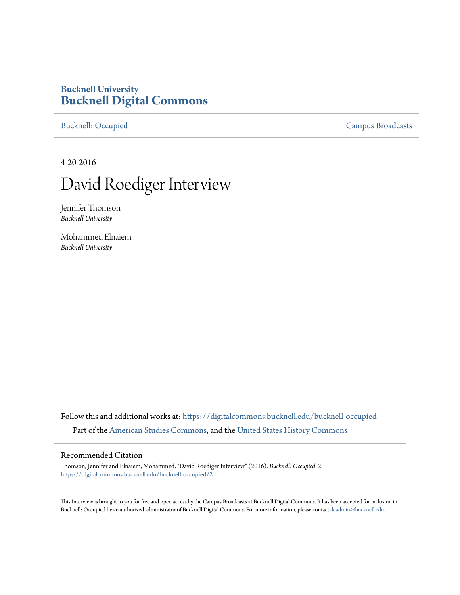# **Bucknell University [Bucknell Digital Commons](https://digitalcommons.bucknell.edu?utm_source=digitalcommons.bucknell.edu%2Fbucknell-occupied%2F2&utm_medium=PDF&utm_campaign=PDFCoverPages)**

[Bucknell: Occupied](https://digitalcommons.bucknell.edu/bucknell-occupied?utm_source=digitalcommons.bucknell.edu%2Fbucknell-occupied%2F2&utm_medium=PDF&utm_campaign=PDFCoverPages) [Campus Broadcasts](https://digitalcommons.bucknell.edu/campus-broadcasts?utm_source=digitalcommons.bucknell.edu%2Fbucknell-occupied%2F2&utm_medium=PDF&utm_campaign=PDFCoverPages)

4-20-2016

# David Roediger Interview

Jennifer Thomson *Bucknell University*

Mohammed Elnaiem *Bucknell University*

Follow this and additional works at: [https://digitalcommons.bucknell.edu/bucknell-occupied](https://digitalcommons.bucknell.edu/bucknell-occupied?utm_source=digitalcommons.bucknell.edu%2Fbucknell-occupied%2F2&utm_medium=PDF&utm_campaign=PDFCoverPages) Part of the [American Studies Commons](http://network.bepress.com/hgg/discipline/439?utm_source=digitalcommons.bucknell.edu%2Fbucknell-occupied%2F2&utm_medium=PDF&utm_campaign=PDFCoverPages), and the [United States History Commons](http://network.bepress.com/hgg/discipline/495?utm_source=digitalcommons.bucknell.edu%2Fbucknell-occupied%2F2&utm_medium=PDF&utm_campaign=PDFCoverPages)

#### Recommended Citation

Thomson, Jennifer and Elnaiem, Mohammed, "David Roediger Interview" (2016). *Bucknell: Occupied*. 2. [https://digitalcommons.bucknell.edu/bucknell-occupied/2](https://digitalcommons.bucknell.edu/bucknell-occupied/2?utm_source=digitalcommons.bucknell.edu%2Fbucknell-occupied%2F2&utm_medium=PDF&utm_campaign=PDFCoverPages)

This Interview is brought to you for free and open access by the Campus Broadcasts at Bucknell Digital Commons. It has been accepted for inclusion in Bucknell: Occupied by an authorized administrator of Bucknell Digital Commons. For more information, please contact [dcadmin@bucknell.edu](mailto:dcadmin@bucknell.edu).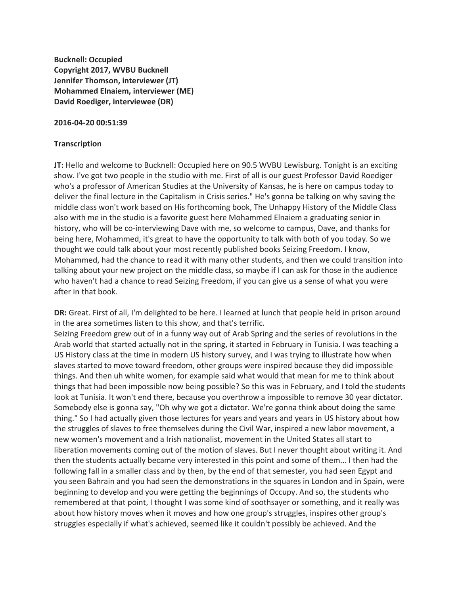**Bucknell: Occupied Copyright 2017, WVBU Bucknell Jennifer Thomson, interviewer (JT) Mohammed Elnaiem, interviewer (ME) David Roediger, interviewee (DR)**

#### **2016-04-20 00:51:39**

#### **Transcription**

**JT:** Hello and welcome to Bucknell: Occupied here on 90.5 WVBU Lewisburg. Tonight is an exciting show. I've got two people in the studio with me. First of all is our guest Professor David Roediger who's a professor of American Studies at the University of Kansas, he is here on campus today to deliver the final lecture in the Capitalism in Crisis series." He's gonna be talking on why saving the middle class won't work based on His forthcoming book, The Unhappy History of the Middle Class also with me in the studio is a favorite guest here Mohammed Elnaiem a graduating senior in history, who will be co-interviewing Dave with me, so welcome to campus, Dave, and thanks for being here, Mohammed, it's great to have the opportunity to talk with both of you today. So we thought we could talk about your most recently published books Seizing Freedom. I know, Mohammed, had the chance to read it with many other students, and then we could transition into talking about your new project on the middle class, so maybe if I can ask for those in the audience who haven't had a chance to read Seizing Freedom, if you can give us a sense of what you were after in that book.

**DR:** Great. First of all, I'm delighted to be here. I learned at lunch that people held in prison around in the area sometimes listen to this show, and that's terrific.

Seizing Freedom grew out of in a funny way out of Arab Spring and the series of revolutions in the Arab world that started actually not in the spring, it started in February in Tunisia. I was teaching a US History class at the time in modern US history survey, and I was trying to illustrate how when slaves started to move toward freedom, other groups were inspired because they did impossible things. And then uh white women, for example said what would that mean for me to think about things that had been impossible now being possible? So this was in February, and I told the students look at Tunisia. It won't end there, because you overthrow a impossible to remove 30 year dictator. Somebody else is gonna say, "Oh why we got a dictator. We're gonna think about doing the same thing." So I had actually given those lectures for years and years and years in US history about how the struggles of slaves to free themselves during the Civil War, inspired a new labor movement, a new women's movement and a Irish nationalist, movement in the United States all start to liberation movements coming out of the motion of slaves. But I never thought about writing it. And then the students actually became very interested in this point and some of them... I then had the following fall in a smaller class and by then, by the end of that semester, you had seen Egypt and you seen Bahrain and you had seen the demonstrations in the squares in London and in Spain, were beginning to develop and you were getting the beginnings of Occupy. And so, the students who remembered at that point, I thought I was some kind of soothsayer or something, and it really was about how history moves when it moves and how one group's struggles, inspires other group's struggles especially if what's achieved, seemed like it couldn't possibly be achieved. And the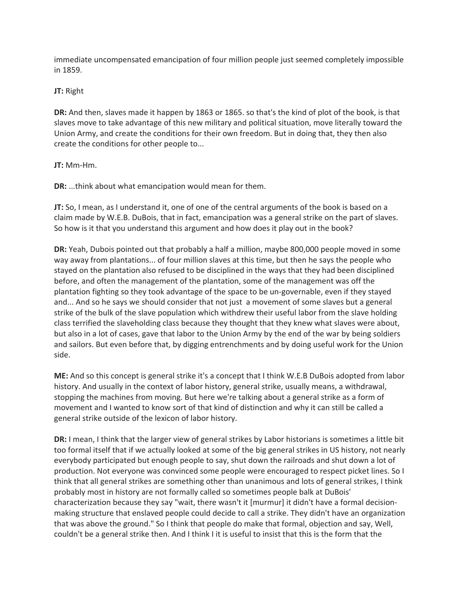immediate uncompensated emancipation of four million people just seemed completely impossible in 1859.

#### **JT:** Right

**DR:** And then, slaves made it happen by 1863 or 1865. so that's the kind of plot of the book, is that slaves move to take advantage of this new military and political situation, move literally toward the Union Army, and create the conditions for their own freedom. But in doing that, they then also create the conditions for other people to...

#### **JT:** Mm-Hm.

**DR:** ...think about what emancipation would mean for them.

**JT:** So, I mean, as I understand it, one of one of the central arguments of the book is based on a claim made by W.E.B. DuBois, that in fact, emancipation was a general strike on the part of slaves. So how is it that you understand this argument and how does it play out in the book?

**DR:** Yeah, Dubois pointed out that probably a half a million, maybe 800,000 people moved in some way away from plantations... of four million slaves at this time, but then he says the people who stayed on the plantation also refused to be disciplined in the ways that they had been disciplined before, and often the management of the plantation, some of the management was off the plantation fighting so they took advantage of the space to be un-governable, even if they stayed and... And so he says we should consider that not just a movement of some slaves but a general strike of the bulk of the slave population which withdrew their useful labor from the slave holding class terrified the slaveholding class because they thought that they knew what slaves were about, but also in a lot of cases, gave that labor to the Union Army by the end of the war by being soldiers and sailors. But even before that, by digging entrenchments and by doing useful work for the Union side.

**ME:** And so this concept is general strike it's a concept that I think W.E.B DuBois adopted from labor history. And usually in the context of labor history, general strike, usually means, a withdrawal, stopping the machines from moving. But here we're talking about a general strike as a form of movement and I wanted to know sort of that kind of distinction and why it can still be called a general strike outside of the lexicon of labor history.

**DR:** I mean, I think that the larger view of general strikes by Labor historians is sometimes a little bit too formal itself that if we actually looked at some of the big general strikes in US history, not nearly everybody participated but enough people to say, shut down the railroads and shut down a lot of production. Not everyone was convinced some people were encouraged to respect picket lines. So I think that all general strikes are something other than unanimous and lots of general strikes, I think probably most in history are not formally called so sometimes people balk at DuBois' characterization because they say "wait, there wasn't it [murmur] it didn't have a formal decisionmaking structure that enslaved people could decide to call a strike. They didn't have an organization that was above the ground." So I think that people do make that formal, objection and say, Well, couldn't be a general strike then. And I think I it is useful to insist that this is the form that the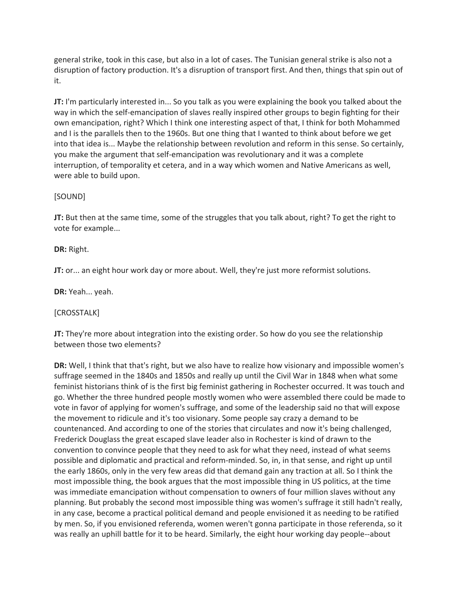general strike, took in this case, but also in a lot of cases. The Tunisian general strike is also not a disruption of factory production. It's a disruption of transport first. And then, things that spin out of it.

**JT:** I'm particularly interested in... So you talk as you were explaining the book you talked about the way in which the self-emancipation of slaves really inspired other groups to begin fighting for their own emancipation, right? Which I think one interesting aspect of that, I think for both Mohammed and I is the parallels then to the 1960s. But one thing that I wanted to think about before we get into that idea is... Maybe the relationship between revolution and reform in this sense. So certainly, you make the argument that self-emancipation was revolutionary and it was a complete interruption, of temporality et cetera, and in a way which women and Native Americans as well, were able to build upon.

#### [SOUND]

**JT:** But then at the same time, some of the struggles that you talk about, right? To get the right to vote for example...

**DR:** Right.

**JT:** or... an eight hour work day or more about. Well, they're just more reformist solutions.

**DR:** Yeah... yeah.

[CROSSTALK]

**JT:** They're more about integration into the existing order. So how do you see the relationship between those two elements?

**DR:** Well, I think that that's right, but we also have to realize how visionary and impossible women's suffrage seemed in the 1840s and 1850s and really up until the Civil War in 1848 when what some feminist historians think of is the first big feminist gathering in Rochester occurred. It was touch and go. Whether the three hundred people mostly women who were assembled there could be made to vote in favor of applying for women's suffrage, and some of the leadership said no that will expose the movement to ridicule and it's too visionary. Some people say crazy a demand to be countenanced. And according to one of the stories that circulates and now it's being challenged, Frederick Douglass the great escaped slave leader also in Rochester is kind of drawn to the convention to convince people that they need to ask for what they need, instead of what seems possible and diplomatic and practical and reform-minded. So, in, in that sense, and right up until the early 1860s, only in the very few areas did that demand gain any traction at all. So I think the most impossible thing, the book argues that the most impossible thing in US politics, at the time was immediate emancipation without compensation to owners of four million slaves without any planning. But probably the second most impossible thing was women's suffrage it still hadn't really, in any case, become a practical political demand and people envisioned it as needing to be ratified by men. So, if you envisioned referenda, women weren't gonna participate in those referenda, so it was really an uphill battle for it to be heard. Similarly, the eight hour working day people--about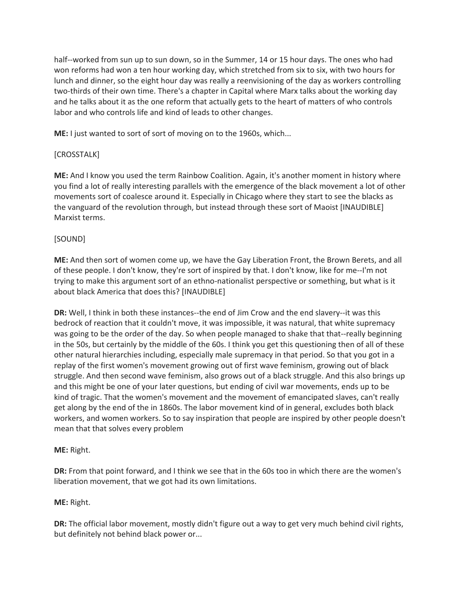half--worked from sun up to sun down, so in the Summer, 14 or 15 hour days. The ones who had won reforms had won a ten hour working day, which stretched from six to six, with two hours for lunch and dinner, so the eight hour day was really a reenvisioning of the day as workers controlling two-thirds of their own time. There's a chapter in Capital where Marx talks about the working day and he talks about it as the one reform that actually gets to the heart of matters of who controls labor and who controls life and kind of leads to other changes.

**ME:** I just wanted to sort of sort of moving on to the 1960s, which...

# [CROSSTALK]

**ME:** And I know you used the term Rainbow Coalition. Again, it's another moment in history where you find a lot of really interesting parallels with the emergence of the black movement a lot of other movements sort of coalesce around it. Especially in Chicago where they start to see the blacks as the vanguard of the revolution through, but instead through these sort of Maoist [INAUDIBLE] Marxist terms.

# [SOUND]

**ME:** And then sort of women come up, we have the Gay Liberation Front, the Brown Berets, and all of these people. I don't know, they're sort of inspired by that. I don't know, like for me--I'm not trying to make this argument sort of an ethno-nationalist perspective or something, but what is it about black America that does this? [INAUDIBLE]

**DR:** Well, I think in both these instances--the end of Jim Crow and the end slavery--it was this bedrock of reaction that it couldn't move, it was impossible, it was natural, that white supremacy was going to be the order of the day. So when people managed to shake that that--really beginning in the 50s, but certainly by the middle of the 60s. I think you get this questioning then of all of these other natural hierarchies including, especially male supremacy in that period. So that you got in a replay of the first women's movement growing out of first wave feminism, growing out of black struggle. And then second wave feminism, also grows out of a black struggle. And this also brings up and this might be one of your later questions, but ending of civil war movements, ends up to be kind of tragic. That the women's movement and the movement of emancipated slaves, can't really get along by the end of the in 1860s. The labor movement kind of in general, excludes both black workers, and women workers. So to say inspiration that people are inspired by other people doesn't mean that that solves every problem

# **ME:** Right.

**DR:** From that point forward, and I think we see that in the 60s too in which there are the women's liberation movement, that we got had its own limitations.

# **ME:** Right.

**DR:** The official labor movement, mostly didn't figure out a way to get very much behind civil rights, but definitely not behind black power or...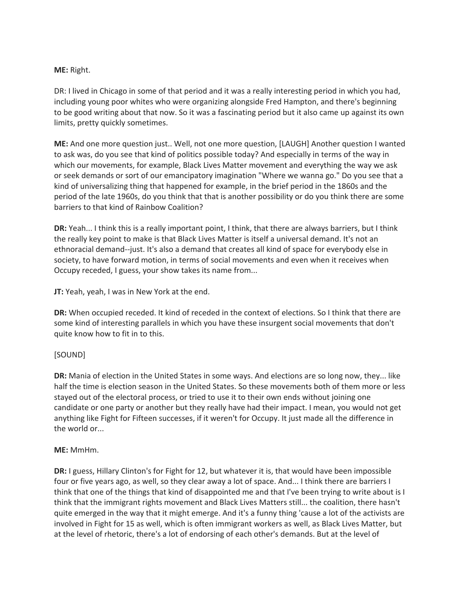#### **ME:** Right.

DR: I lived in Chicago in some of that period and it was a really interesting period in which you had, including young poor whites who were organizing alongside Fred Hampton, and there's beginning to be good writing about that now. So it was a fascinating period but it also came up against its own limits, pretty quickly sometimes.

**ME:** And one more question just.. Well, not one more question, [LAUGH] Another question I wanted to ask was, do you see that kind of politics possible today? And especially in terms of the way in which our movements, for example, Black Lives Matter movement and everything the way we ask or seek demands or sort of our emancipatory imagination "Where we wanna go." Do you see that a kind of universalizing thing that happened for example, in the brief period in the 1860s and the period of the late 1960s, do you think that that is another possibility or do you think there are some barriers to that kind of Rainbow Coalition?

**DR:** Yeah... I think this is a really important point, I think, that there are always barriers, but I think the really key point to make is that Black Lives Matter is itself a universal demand. It's not an ethnoracial demand--just. It's also a demand that creates all kind of space for everybody else in society, to have forward motion, in terms of social movements and even when it receives when Occupy receded, I guess, your show takes its name from...

**JT:** Yeah, yeah, I was in New York at the end.

**DR:** When occupied receded. It kind of receded in the context of elections. So I think that there are some kind of interesting parallels in which you have these insurgent social movements that don't quite know how to fit in to this.

#### [SOUND]

**DR:** Mania of election in the United States in some ways. And elections are so long now, they... like half the time is election season in the United States. So these movements both of them more or less stayed out of the electoral process, or tried to use it to their own ends without joining one candidate or one party or another but they really have had their impact. I mean, you would not get anything like Fight for Fifteen successes, if it weren't for Occupy. It just made all the difference in the world or...

#### **ME:** MmHm.

**DR:** I guess, Hillary Clinton's for Fight for 12, but whatever it is, that would have been impossible four or five years ago, as well, so they clear away a lot of space. And... I think there are barriers I think that one of the things that kind of disappointed me and that I've been trying to write about is I think that the immigrant rights movement and Black Lives Matters still... the coalition, there hasn't quite emerged in the way that it might emerge. And it's a funny thing 'cause a lot of the activists are involved in Fight for 15 as well, which is often immigrant workers as well, as Black Lives Matter, but at the level of rhetoric, there's a lot of endorsing of each other's demands. But at the level of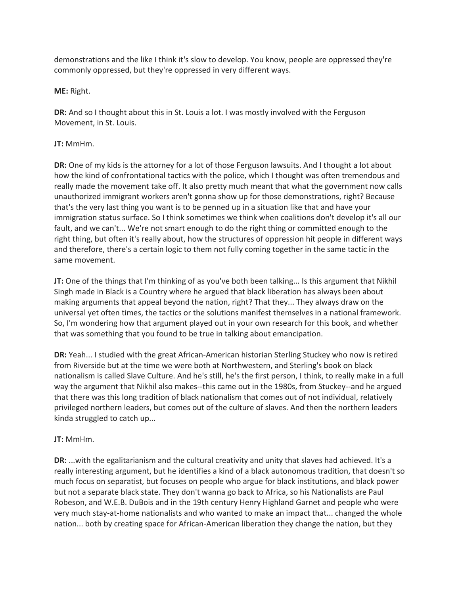demonstrations and the like I think it's slow to develop. You know, people are oppressed they're commonly oppressed, but they're oppressed in very different ways.

#### **ME:** Right.

**DR:** And so I thought about this in St. Louis a lot. I was mostly involved with the Ferguson Movement, in St. Louis.

#### **JT:** MmHm.

**DR:** One of my kids is the attorney for a lot of those Ferguson lawsuits. And I thought a lot about how the kind of confrontational tactics with the police, which I thought was often tremendous and really made the movement take off. It also pretty much meant that what the government now calls unauthorized immigrant workers aren't gonna show up for those demonstrations, right? Because that's the very last thing you want is to be penned up in a situation like that and have your immigration status surface. So I think sometimes we think when coalitions don't develop it's all our fault, and we can't... We're not smart enough to do the right thing or committed enough to the right thing, but often it's really about, how the structures of oppression hit people in different ways and therefore, there's a certain logic to them not fully coming together in the same tactic in the same movement.

**JT:** One of the things that I'm thinking of as you've both been talking... Is this argument that Nikhil Singh made in Black is a Country where he argued that black liberation has always been about making arguments that appeal beyond the nation, right? That they... They always draw on the universal yet often times, the tactics or the solutions manifest themselves in a national framework. So, I'm wondering how that argument played out in your own research for this book, and whether that was something that you found to be true in talking about emancipation.

**DR:** Yeah... I studied with the great African-American historian Sterling Stuckey who now is retired from Riverside but at the time we were both at Northwestern, and Sterling's book on black nationalism is called Slave Culture. And he's still, he's the first person, I think, to really make in a full way the argument that Nikhil also makes--this came out in the 1980s, from Stuckey--and he argued that there was this long tradition of black nationalism that comes out of not individual, relatively privileged northern leaders, but comes out of the culture of slaves. And then the northern leaders kinda struggled to catch up...

#### **JT:** MmHm.

**DR:** ...with the egalitarianism and the cultural creativity and unity that slaves had achieved. It's a really interesting argument, but he identifies a kind of a black autonomous tradition, that doesn't so much focus on separatist, but focuses on people who argue for black institutions, and black power but not a separate black state. They don't wanna go back to Africa, so his Nationalists are Paul Robeson, and W.E.B. DuBois and in the 19th century Henry Highland Garnet and people who were very much stay-at-home nationalists and who wanted to make an impact that... changed the whole nation... both by creating space for African-American liberation they change the nation, but they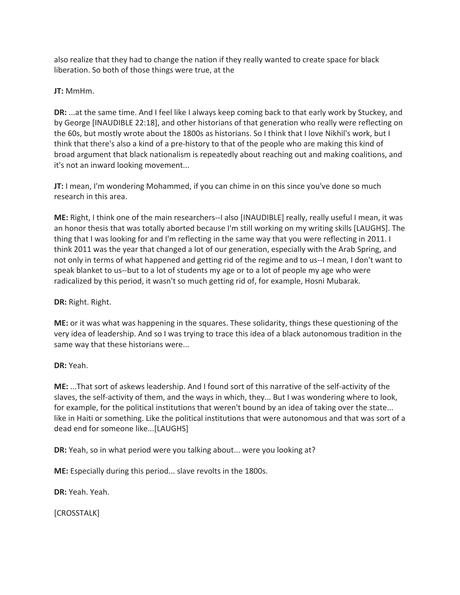also realize that they had to change the nation if they really wanted to create space for black liberation. So both of those things were true, at the

**JT:** MmHm.

**DR:** ...at the same time. And I feel like I always keep coming back to that early work by Stuckey, and by George [INAUDIBLE 22:18], and other historians of that generation who really were reflecting on the 60s, but mostly wrote about the 1800s as historians. So I think that I love Nikhil's work, but I think that there's also a kind of a pre-history to that of the people who are making this kind of broad argument that black nationalism is repeatedly about reaching out and making coalitions, and it's not an inward looking movement...

**JT:** I mean, I'm wondering Mohammed, if you can chime in on this since you've done so much research in this area.

**ME:** Right, I think one of the main researchers--I also [INAUDIBLE] really, really useful I mean, it was an honor thesis that was totally aborted because I'm still working on my writing skills [LAUGHS]. The thing that I was looking for and I'm reflecting in the same way that you were reflecting in 2011. I think 2011 was the year that changed a lot of our generation, especially with the Arab Spring, and not only in terms of what happened and getting rid of the regime and to us--I mean, I don't want to speak blanket to us--but to a lot of students my age or to a lot of people my age who were radicalized by this period, it wasn't so much getting rid of, for example, Hosni Mubarak.

**DR:** Right. Right.

**ME:** or it was what was happening in the squares. These solidarity, things these questioning of the very idea of leadership. And so I was trying to trace this idea of a black autonomous tradition in the same way that these historians were...

**DR:** Yeah.

**ME:** ...That sort of askews leadership. And I found sort of this narrative of the self-activity of the slaves, the self-activity of them, and the ways in which, they... But I was wondering where to look, for example, for the political institutions that weren't bound by an idea of taking over the state... like in Haiti or something. Like the political institutions that were autonomous and that was sort of a dead end for someone like...[LAUGHS]

**DR:** Yeah, so in what period were you talking about... were you looking at?

**ME:** Especially during this period... slave revolts in the 1800s.

**DR:** Yeah. Yeah.

[CROSSTALK]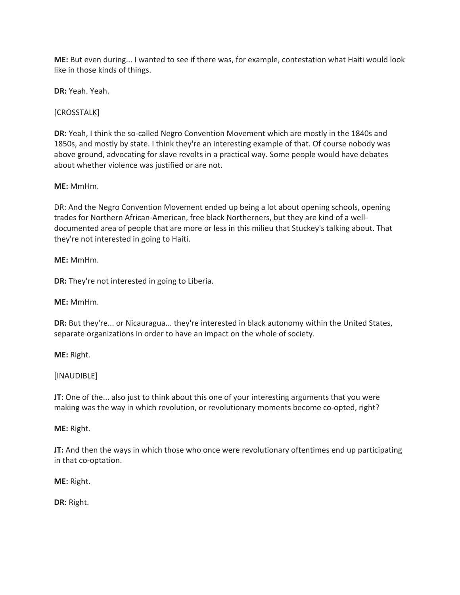**ME:** But even during... I wanted to see if there was, for example, contestation what Haiti would look like in those kinds of things.

**DR:** Yeah. Yeah.

[CROSSTALK]

**DR:** Yeah, I think the so-called Negro Convention Movement which are mostly in the 1840s and 1850s, and mostly by state. I think they're an interesting example of that. Of course nobody was above ground, advocating for slave revolts in a practical way. Some people would have debates about whether violence was justified or are not.

**ME:** MmHm.

DR: And the Negro Convention Movement ended up being a lot about opening schools, opening trades for Northern African-American, free black Northerners, but they are kind of a welldocumented area of people that are more or less in this milieu that Stuckey's talking about. That they're not interested in going to Haiti.

**ME:** MmHm.

**DR:** They're not interested in going to Liberia.

**ME:** MmHm.

**DR:** But they're... or Nicauragua... they're interested in black autonomy within the United States, separate organizations in order to have an impact on the whole of society.

**ME:** Right.

[INAUDIBLE]

**JT:** One of the... also just to think about this one of your interesting arguments that you were making was the way in which revolution, or revolutionary moments become co-opted, right?

**ME:** Right.

**JT:** And then the ways in which those who once were revolutionary oftentimes end up participating in that co-optation.

**ME:** Right.

**DR:** Right.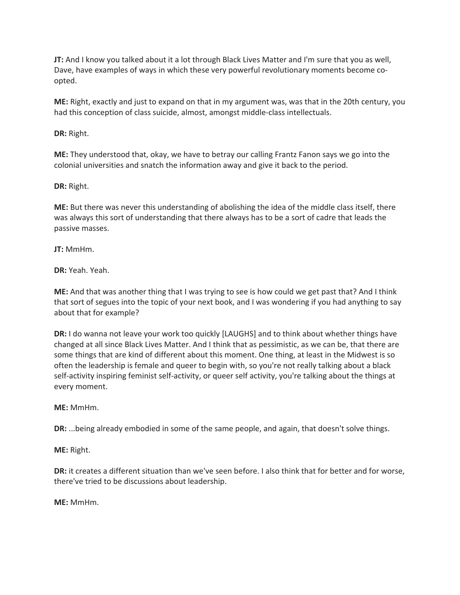**JT:** And I know you talked about it a lot through Black Lives Matter and I'm sure that you as well, Dave, have examples of ways in which these very powerful revolutionary moments become coopted.

**ME:** Right, exactly and just to expand on that in my argument was, was that in the 20th century, you had this conception of class suicide, almost, amongst middle-class intellectuals.

**DR:** Right.

**ME:** They understood that, okay, we have to betray our calling Frantz Fanon says we go into the colonial universities and snatch the information away and give it back to the period.

**DR:** Right.

**ME:** But there was never this understanding of abolishing the idea of the middle class itself, there was always this sort of understanding that there always has to be a sort of cadre that leads the passive masses.

**JT:** MmHm.

**DR:** Yeah. Yeah.

**ME:** And that was another thing that I was trying to see is how could we get past that? And I think that sort of segues into the topic of your next book, and I was wondering if you had anything to say about that for example?

**DR:** I do wanna not leave your work too quickly [LAUGHS] and to think about whether things have changed at all since Black Lives Matter. And I think that as pessimistic, as we can be, that there are some things that are kind of different about this moment. One thing, at least in the Midwest is so often the leadership is female and queer to begin with, so you're not really talking about a black self-activity inspiring feminist self-activity, or queer self activity, you're talking about the things at every moment.

**ME:** MmHm.

**DR:** ...being already embodied in some of the same people, and again, that doesn't solve things.

**ME:** Right.

**DR:** it creates a different situation than we've seen before. I also think that for better and for worse, there've tried to be discussions about leadership.

**ME:** MmHm.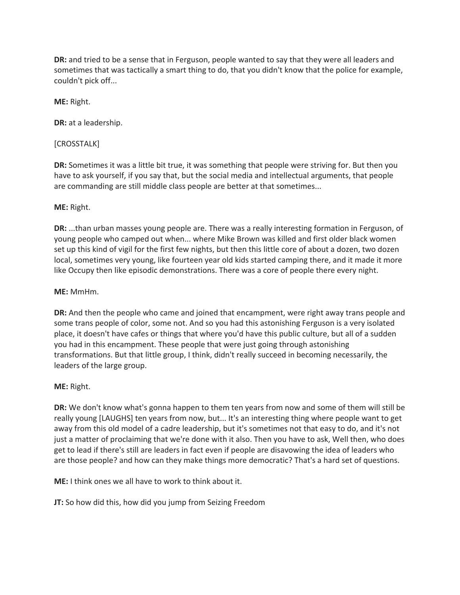**DR:** and tried to be a sense that in Ferguson, people wanted to say that they were all leaders and sometimes that was tactically a smart thing to do, that you didn't know that the police for example, couldn't pick off...

**ME:** Right.

**DR:** at a leadership.

[CROSSTALK]

**DR:** Sometimes it was a little bit true, it was something that people were striving for. But then you have to ask yourself, if you say that, but the social media and intellectual arguments, that people are commanding are still middle class people are better at that sometimes...

#### **ME:** Right.

**DR:** ...than urban masses young people are. There was a really interesting formation in Ferguson, of young people who camped out when... where Mike Brown was killed and first older black women set up this kind of vigil for the first few nights, but then this little core of about a dozen, two dozen local, sometimes very young, like fourteen year old kids started camping there, and it made it more like Occupy then like episodic demonstrations. There was a core of people there every night.

#### **ME:** MmHm.

**DR:** And then the people who came and joined that encampment, were right away trans people and some trans people of color, some not. And so you had this astonishing Ferguson is a very isolated place, it doesn't have cafes or things that where you'd have this public culture, but all of a sudden you had in this encampment. These people that were just going through astonishing transformations. But that little group, I think, didn't really succeed in becoming necessarily, the leaders of the large group.

#### **ME:** Right.

**DR:** We don't know what's gonna happen to them ten years from now and some of them will still be really young [LAUGHS] ten years from now, but... It's an interesting thing where people want to get away from this old model of a cadre leadership, but it's sometimes not that easy to do, and it's not just a matter of proclaiming that we're done with it also. Then you have to ask, Well then, who does get to lead if there's still are leaders in fact even if people are disavowing the idea of leaders who are those people? and how can they make things more democratic? That's a hard set of questions.

**ME:** I think ones we all have to work to think about it.

**JT:** So how did this, how did you jump from Seizing Freedom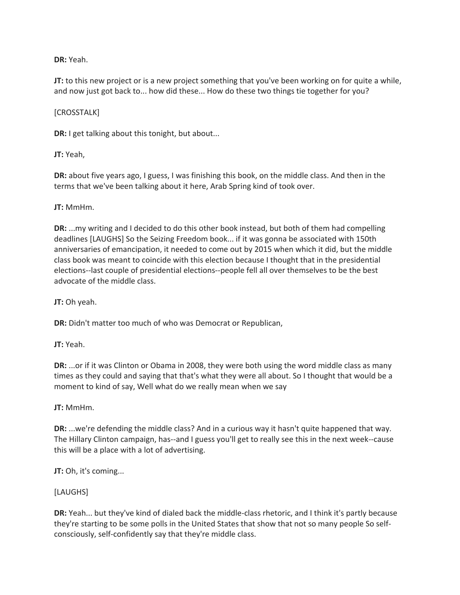**DR:** Yeah.

**JT:** to this new project or is a new project something that you've been working on for quite a while, and now just got back to... how did these... How do these two things tie together for you?

#### [CROSSTALK]

**DR:** I get talking about this tonight, but about...

**JT:** Yeah,

**DR:** about five years ago, I guess, I was finishing this book, on the middle class. And then in the terms that we've been talking about it here, Arab Spring kind of took over.

#### **JT:** MmHm.

**DR:** ...my writing and I decided to do this other book instead, but both of them had compelling deadlines [LAUGHS] So the Seizing Freedom book... if it was gonna be associated with 150th anniversaries of emancipation, it needed to come out by 2015 when which it did, but the middle class book was meant to coincide with this election because I thought that in the presidential elections--last couple of presidential elections--people fell all over themselves to be the best advocate of the middle class.

**JT:** Oh yeah.

**DR:** Didn't matter too much of who was Democrat or Republican,

**JT:** Yeah.

**DR:** ...or if it was Clinton or Obama in 2008, they were both using the word middle class as many times as they could and saying that that's what they were all about. So I thought that would be a moment to kind of say, Well what do we really mean when we say

**JT:** MmHm.

**DR:** ...we're defending the middle class? And in a curious way it hasn't quite happened that way. The Hillary Clinton campaign, has--and I guess you'll get to really see this in the next week--cause this will be a place with a lot of advertising.

**JT:** Oh, it's coming...

#### [LAUGHS]

**DR:** Yeah... but they've kind of dialed back the middle-class rhetoric, and I think it's partly because they're starting to be some polls in the United States that show that not so many people So selfconsciously, self-confidently say that they're middle class.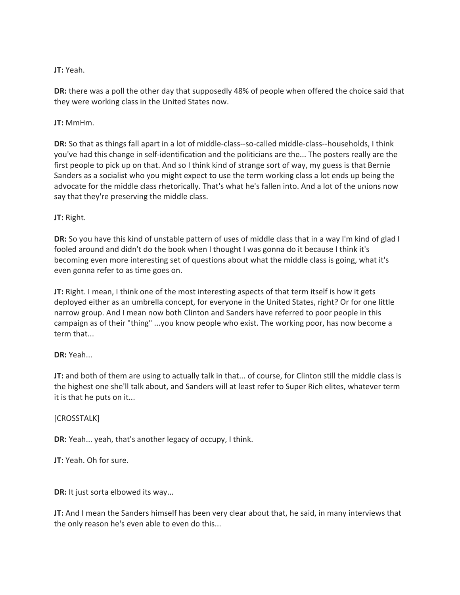# **JT:** Yeah.

**DR:** there was a poll the other day that supposedly 48% of people when offered the choice said that they were working class in the United States now.

# **JT:** MmHm.

**DR:** So that as things fall apart in a lot of middle-class--so-called middle-class--households, I think you've had this change in self-identification and the politicians are the... The posters really are the first people to pick up on that. And so I think kind of strange sort of way, my guess is that Bernie Sanders as a socialist who you might expect to use the term working class a lot ends up being the advocate for the middle class rhetorically. That's what he's fallen into. And a lot of the unions now say that they're preserving the middle class.

# **JT:** Right.

**DR:** So you have this kind of unstable pattern of uses of middle class that in a way I'm kind of glad I fooled around and didn't do the book when I thought I was gonna do it because I think it's becoming even more interesting set of questions about what the middle class is going, what it's even gonna refer to as time goes on.

**JT:** Right. I mean, I think one of the most interesting aspects of that term itself is how it gets deployed either as an umbrella concept, for everyone in the United States, right? Or for one little narrow group. And I mean now both Clinton and Sanders have referred to poor people in this campaign as of their "thing" ...you know people who exist. The working poor, has now become a term that...

# **DR:** Yeah...

**JT:** and both of them are using to actually talk in that... of course, for Clinton still the middle class is the highest one she'll talk about, and Sanders will at least refer to Super Rich elites, whatever term it is that he puts on it...

#### [CROSSTALK]

**DR:** Yeah... yeah, that's another legacy of occupy, I think.

**JT:** Yeah. Oh for sure.

**DR:** It just sorta elbowed its way...

**JT:** And I mean the Sanders himself has been very clear about that, he said, in many interviews that the only reason he's even able to even do this...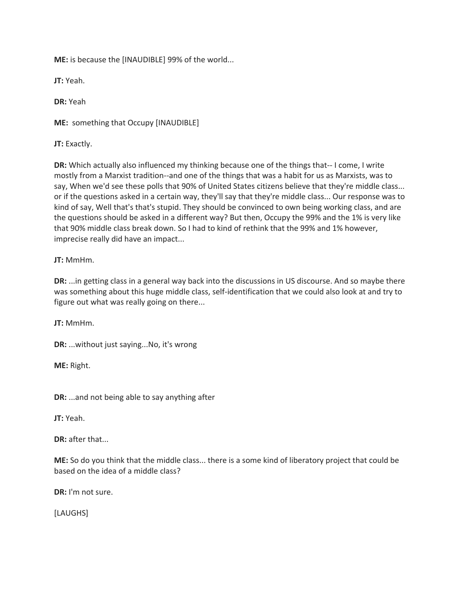**ME:** is because the [INAUDIBLE] 99% of the world...

**JT:** Yeah.

**DR:** Yeah

**ME:** something that Occupy [INAUDIBLE]

**JT:** Exactly.

**DR:** Which actually also influenced my thinking because one of the things that-- I come, I write mostly from a Marxist tradition--and one of the things that was a habit for us as Marxists, was to say, When we'd see these polls that 90% of United States citizens believe that they're middle class... or if the questions asked in a certain way, they'll say that they're middle class... Our response was to kind of say, Well that's that's stupid. They should be convinced to own being working class, and are the questions should be asked in a different way? But then, Occupy the 99% and the 1% is very like that 90% middle class break down. So I had to kind of rethink that the 99% and 1% however, imprecise really did have an impact...

**JT:** MmHm.

**DR:** ...in getting class in a general way back into the discussions in US discourse. And so maybe there was something about this huge middle class, self-identification that we could also look at and try to figure out what was really going on there...

**JT:** MmHm.

**DR:** ...without just saying...No, it's wrong

**ME:** Right.

**DR:** ...and not being able to say anything after

**JT:** Yeah.

**DR:** after that...

**ME:** So do you think that the middle class... there is a some kind of liberatory project that could be based on the idea of a middle class?

**DR:** I'm not sure.

[LAUGHS]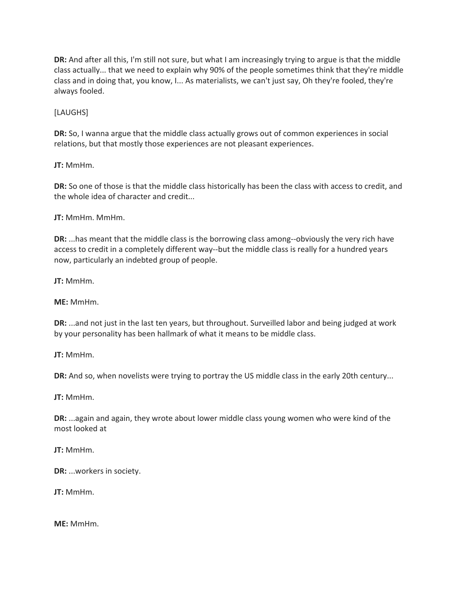**DR:** And after all this, I'm still not sure, but what I am increasingly trying to argue is that the middle class actually... that we need to explain why 90% of the people sometimes think that they're middle class and in doing that, you know, I... As materialists, we can't just say, Oh they're fooled, they're always fooled.

[LAUGHS]

**DR:** So, I wanna argue that the middle class actually grows out of common experiences in social relations, but that mostly those experiences are not pleasant experiences.

**JT:** MmHm.

**DR:** So one of those is that the middle class historically has been the class with access to credit, and the whole idea of character and credit...

**JT:** MmHm. MmHm.

**DR:** ...has meant that the middle class is the borrowing class among--obviously the very rich have access to credit in a completely different way--but the middle class is really for a hundred years now, particularly an indebted group of people.

**JT:** MmHm.

**ME:** MmHm.

**DR:** ...and not just in the last ten years, but throughout. Surveilled labor and being judged at work by your personality has been hallmark of what it means to be middle class.

**JT:** MmHm.

**DR:** And so, when novelists were trying to portray the US middle class in the early 20th century...

**JT:** MmHm.

**DR:** ...again and again, they wrote about lower middle class young women who were kind of the most looked at

**JT:** MmHm.

**DR:** ...workers in society.

**JT:** MmHm.

**ME:** MmHm.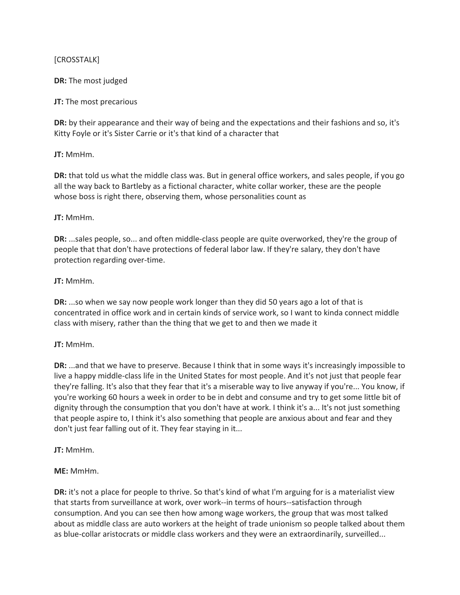#### [CROSSTALK]

#### **DR:** The most judged

#### **JT:** The most precarious

**DR:** by their appearance and their way of being and the expectations and their fashions and so, it's Kitty Foyle or it's Sister Carrie or it's that kind of a character that

#### **JT:** MmHm.

**DR:** that told us what the middle class was. But in general office workers, and sales people, if you go all the way back to Bartleby as a fictional character, white collar worker, these are the people whose boss is right there, observing them, whose personalities count as

#### **JT:** MmHm.

**DR:** ...sales people, so... and often middle-class people are quite overworked, they're the group of people that that don't have protections of federal labor law. If they're salary, they don't have protection regarding over-time.

# **JT:** MmHm.

**DR:** ...so when we say now people work longer than they did 50 years ago a lot of that is concentrated in office work and in certain kinds of service work, so I want to kinda connect middle class with misery, rather than the thing that we get to and then we made it

#### **JT:** MmHm.

**DR:** ...and that we have to preserve. Because I think that in some ways it's increasingly impossible to live a happy middle-class life in the United States for most people. And it's not just that people fear they're falling. It's also that they fear that it's a miserable way to live anyway if you're... You know, if you're working 60 hours a week in order to be in debt and consume and try to get some little bit of dignity through the consumption that you don't have at work. I think it's a... It's not just something that people aspire to, I think it's also something that people are anxious about and fear and they don't just fear falling out of it. They fear staying in it...

#### **JT:** MmHm.

# **ME:** MmHm.

**DR:** it's not a place for people to thrive. So that's kind of what I'm arguing for is a materialist view that starts from surveillance at work, over work--in terms of hours--satisfaction through consumption. And you can see then how among wage workers, the group that was most talked about as middle class are auto workers at the height of trade unionism so people talked about them as blue-collar aristocrats or middle class workers and they were an extraordinarily, surveilled...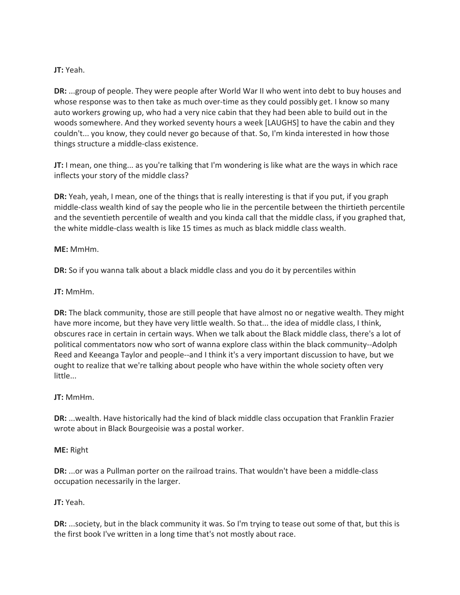#### **JT:** Yeah.

**DR:** ...group of people. They were people after World War II who went into debt to buy houses and whose response was to then take as much over-time as they could possibly get. I know so many auto workers growing up, who had a very nice cabin that they had been able to build out in the woods somewhere. And they worked seventy hours a week [LAUGHS] to have the cabin and they couldn't... you know, they could never go because of that. So, I'm kinda interested in how those things structure a middle-class existence.

**JT:** I mean, one thing... as you're talking that I'm wondering is like what are the ways in which race inflects your story of the middle class?

**DR:** Yeah, yeah, I mean, one of the things that is really interesting is that if you put, if you graph middle-class wealth kind of say the people who lie in the percentile between the thirtieth percentile and the seventieth percentile of wealth and you kinda call that the middle class, if you graphed that, the white middle-class wealth is like 15 times as much as black middle class wealth.

**ME:** MmHm.

**DR:** So if you wanna talk about a black middle class and you do it by percentiles within

**JT:** MmHm.

**DR:** The black community, those are still people that have almost no or negative wealth. They might have more income, but they have very little wealth. So that... the idea of middle class, I think, obscures race in certain in certain ways. When we talk about the Black middle class, there's a lot of political commentators now who sort of wanna explore class within the black community--Adolph Reed and Keeanga Taylor and people--and I think it's a very important discussion to have, but we ought to realize that we're talking about people who have within the whole society often very little...

**JT:** MmHm.

**DR:** ...wealth. Have historically had the kind of black middle class occupation that Franklin Frazier wrote about in Black Bourgeoisie was a postal worker.

#### **ME:** Right

**DR:** ...or was a Pullman porter on the railroad trains. That wouldn't have been a middle-class occupation necessarily in the larger.

#### **JT:** Yeah.

**DR:** ...society, but in the black community it was. So I'm trying to tease out some of that, but this is the first book I've written in a long time that's not mostly about race.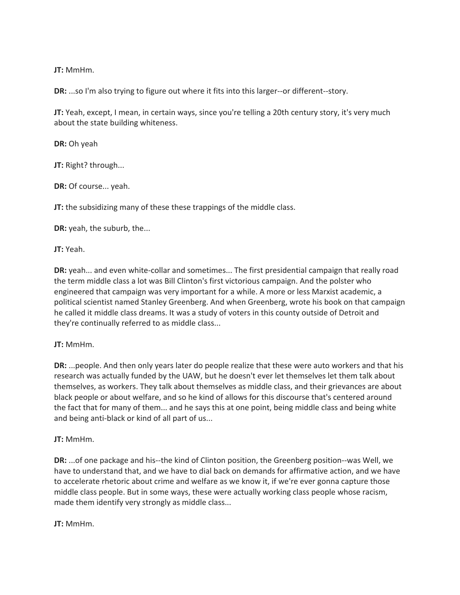**JT:** MmHm.

**DR:** ...so I'm also trying to figure out where it fits into this larger--or different--story.

**JT:** Yeah, except, I mean, in certain ways, since you're telling a 20th century story, it's very much about the state building whiteness.

**DR:** Oh yeah

**JT:** Right? through...

**DR:** Of course... yeah.

**JT:** the subsidizing many of these these trappings of the middle class.

**DR:** yeah, the suburb, the...

**JT:** Yeah.

**DR:** yeah... and even white-collar and sometimes... The first presidential campaign that really road the term middle class a lot was Bill Clinton's first victorious campaign. And the polster who engineered that campaign was very important for a while. A more or less Marxist academic, a political scientist named Stanley Greenberg. And when Greenberg, wrote his book on that campaign he called it middle class dreams. It was a study of voters in this county outside of Detroit and they're continually referred to as middle class...

#### **JT:** MmHm.

**DR:** ...people. And then only years later do people realize that these were auto workers and that his research was actually funded by the UAW, but he doesn't ever let themselves let them talk about themselves, as workers. They talk about themselves as middle class, and their grievances are about black people or about welfare, and so he kind of allows for this discourse that's centered around the fact that for many of them... and he says this at one point, being middle class and being white and being anti-black or kind of all part of us...

#### **JT:** MmHm.

**DR:** ...of one package and his--the kind of Clinton position, the Greenberg position--was Well, we have to understand that, and we have to dial back on demands for affirmative action, and we have to accelerate rhetoric about crime and welfare as we know it, if we're ever gonna capture those middle class people. But in some ways, these were actually working class people whose racism, made them identify very strongly as middle class...

**JT:** MmHm.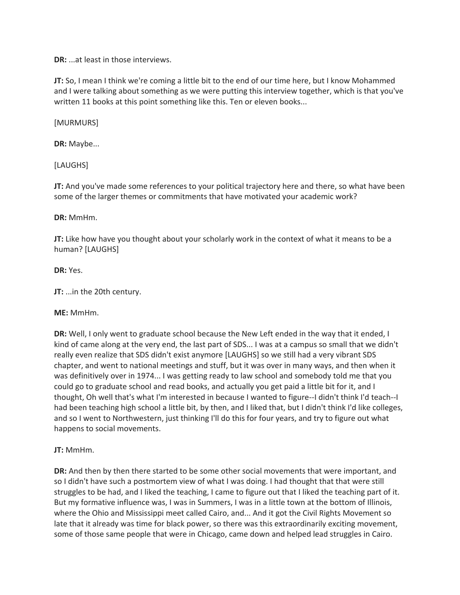**DR:** ...at least in those interviews.

**JT:** So, I mean I think we're coming a little bit to the end of our time here, but I know Mohammed and I were talking about something as we were putting this interview together, which is that you've written 11 books at this point something like this. Ten or eleven books...

[MURMURS]

**DR:** Maybe...

[LAUGHS]

**JT:** And you've made some references to your political trajectory here and there, so what have been some of the larger themes or commitments that have motivated your academic work?

**DR:** MmHm.

**JT:** Like how have you thought about your scholarly work in the context of what it means to be a human? [LAUGHS]

**DR:** Yes.

**JT:** ...in the 20th century.

**ME:** MmHm.

**DR:** Well, I only went to graduate school because the New Left ended in the way that it ended, I kind of came along at the very end, the last part of SDS... I was at a campus so small that we didn't really even realize that SDS didn't exist anymore [LAUGHS] so we still had a very vibrant SDS chapter, and went to national meetings and stuff, but it was over in many ways, and then when it was definitively over in 1974... I was getting ready to law school and somebody told me that you could go to graduate school and read books, and actually you get paid a little bit for it, and I thought, Oh well that's what I'm interested in because I wanted to figure--I didn't think I'd teach--I had been teaching high school a little bit, by then, and I liked that, but I didn't think I'd like colleges, and so I went to Northwestern, just thinking I'll do this for four years, and try to figure out what happens to social movements.

**JT:** MmHm.

**DR:** And then by then there started to be some other social movements that were important, and so I didn't have such a postmortem view of what I was doing. I had thought that that were still struggles to be had, and I liked the teaching, I came to figure out that I liked the teaching part of it. But my formative influence was, I was in Summers, I was in a little town at the bottom of Illinois, where the Ohio and Mississippi meet called Cairo, and... And it got the Civil Rights Movement so late that it already was time for black power, so there was this extraordinarily exciting movement, some of those same people that were in Chicago, came down and helped lead struggles in Cairo.